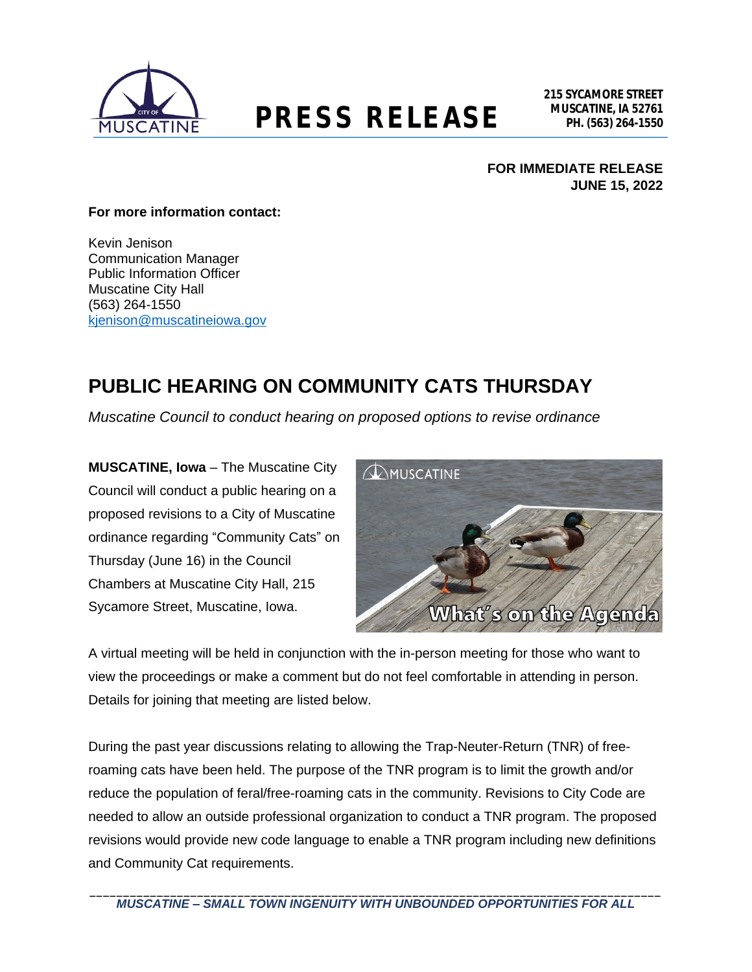

# **MUSCATINE, IA 52761 PRESS RELEASE PH. (563) 264-1550**

### **FOR IMMEDIATE RELEASE JUNE 15, 2022**

#### **For more information contact:**

Kevin Jenison Communication Manager Public Information Officer Muscatine City Hall (563) 264-1550 [kjenison@muscatineiowa.gov](mailto:kjenison@muscatineiowa.gov)

## **PUBLIC HEARING ON COMMUNITY CATS THURSDAY**

*Muscatine Council to conduct hearing on proposed options to revise ordinance*

**MUSCATINE, Iowa** – The Muscatine City Council will conduct a public hearing on a proposed revisions to a City of Muscatine ordinance regarding "Community Cats" on Thursday (June 16) in the Council Chambers at Muscatine City Hall, 215 Sycamore Street, Muscatine, Iowa.



A virtual meeting will be held in conjunction with the in-person meeting for those who want to view the proceedings or make a comment but do not feel comfortable in attending in person. Details for joining that meeting are listed below.

During the past year discussions relating to allowing the Trap-Neuter-Return (TNR) of freeroaming cats have been held. The purpose of the TNR program is to limit the growth and/or reduce the population of feral/free-roaming cats in the community. Revisions to City Code are needed to allow an outside professional organization to conduct a TNR program. The proposed revisions would provide new code language to enable a TNR program including new definitions and Community Cat requirements.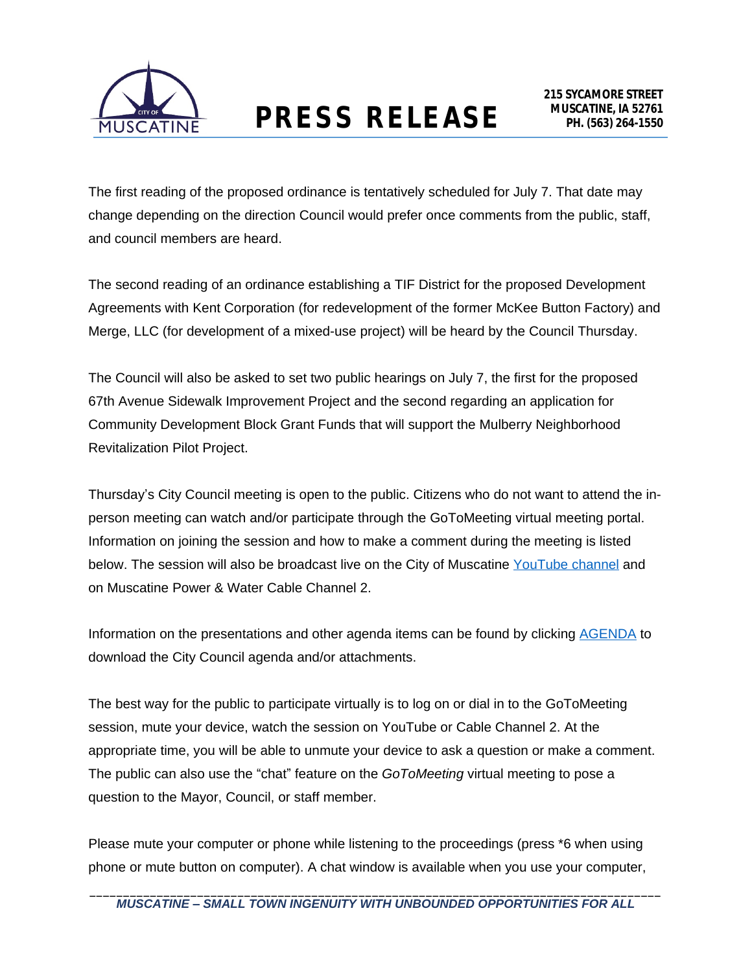

The first reading of the proposed ordinance is tentatively scheduled for July 7. That date may change depending on the direction Council would prefer once comments from the public, staff, and council members are heard.

The second reading of an ordinance establishing a TIF District for the proposed Development Agreements with Kent Corporation (for redevelopment of the former McKee Button Factory) and Merge, LLC (for development of a mixed-use project) will be heard by the Council Thursday.

The Council will also be asked to set two public hearings on July 7, the first for the proposed 67th Avenue Sidewalk Improvement Project and the second regarding an application for Community Development Block Grant Funds that will support the Mulberry Neighborhood Revitalization Pilot Project.

Thursday's City Council meeting is open to the public. Citizens who do not want to attend the inperson meeting can watch and/or participate through the GoToMeeting virtual meeting portal. Information on joining the session and how to make a comment during the meeting is listed below. The session will also be broadcast live on the City of Muscatine [YouTube channel](http://www.muscatineiowa.gov/youtube) and on Muscatine Power & Water Cable Channel 2.

Information on the presentations and other agenda items can be found by clicking [AGENDA](http://www.muscatineiowa.gov/Archive.aspx?AMID=37&Type=Recent) to download the City Council agenda and/or attachments.

The best way for the public to participate virtually is to log on or dial in to the GoToMeeting session, mute your device, watch the session on YouTube or Cable Channel 2. At the appropriate time, you will be able to unmute your device to ask a question or make a comment. The public can also use the "chat" feature on the *GoToMeeting* virtual meeting to pose a question to the Mayor, Council, or staff member.

Please mute your computer or phone while listening to the proceedings (press \*6 when using phone or mute button on computer). A chat window is available when you use your computer,